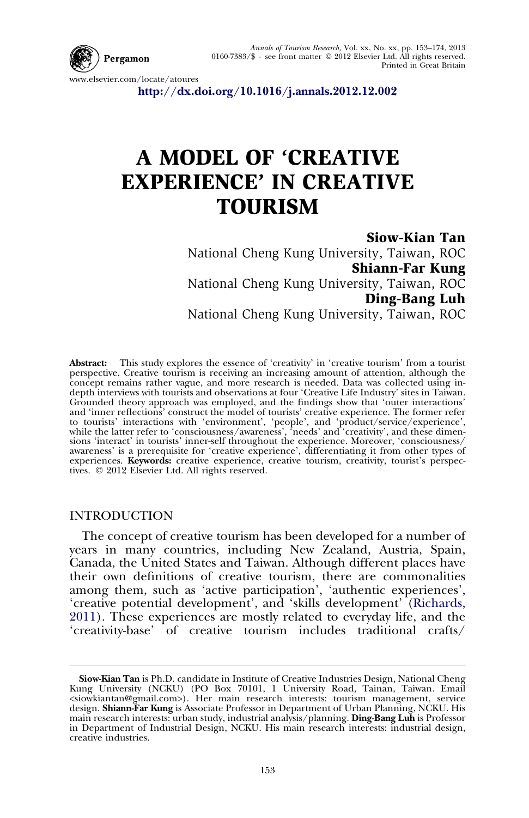

Annals of Tourism Research, Vol. xx, No. xx, pp. 153–174, 2013 0160-7383/\$ - see front matter - 2012 Elsevier Ltd. All rights reserved. Printed in Great Britain

www.elsevier.com/locate/atoures

<http://dx.doi.org/10.1016/j.annals.2012.12.002>

## A MODEL OF 'CREATIVE EXPERIENCE' IN CREATIVE **TOURISM**

Siow-Kian Tan National Cheng Kung University, Taiwan, ROC Shiann-Far Kung National Cheng Kung University, Taiwan, ROC Ding-Bang Luh National Cheng Kung University, Taiwan, ROC

Abstract: This study explores the essence of 'creativity' in 'creative tourism' from a tourist perspective. Creative tourism is receiving an increasing amount of attention, although the concept remains rather vague, and more research is needed. Data was collected using indepth interviews with tourists and observations at four 'Creative Life Industry' sites in Taiwan. Grounded theory approach was employed, and the findings show that 'outer interactions' and 'inner reflections' construct the model of tourists' creative experience. The former refer to tourists' interactions with 'environment', 'people', and 'product/service/experience', while the latter refer to 'consciousness/awareness', 'needs' and 'creativity', and these dimensions 'interact' in tourists' inner-self throughout the experience. Moreover, 'consciousness/ awareness' is a prerequisite for 'creative experience', differentiating it from other types of experiences. Keywords: creative experience, creative tourism, creativity, tourist's perspectives. © 2012 Elsevier Ltd. All rights reserved.

## INTRODUCTION

The concept of creative tourism has been developed for a number of years in many countries, including New Zealand, Austria, Spain, Canada, the United States and Taiwan. Although different places have their own definitions of creative tourism, there are commonalities among them, such as 'active participation', 'authentic experiences', 'creative potential development', and 'skills development' ([Richards,](#page--1-0) [2011](#page--1-0)). These experiences are mostly related to everyday life, and the 'creativity-base' of creative tourism includes traditional crafts/

Siow-Kian Tan is Ph.D. candidate in Institute of Creative Industries Design, National Cheng Kung University (NCKU) (PO Box 70101, 1 University Road, Tainan, Taiwan. Email <siowkiantan@gmail.com>). Her main research interests: tourism management, service design. Shiann-Far Kung is Associate Professor in Department of Urban Planning, NCKU. His main research interests: urban study, industrial analysis/planning. Ding-Bang Luh is Professor in Department of Industrial Design, NCKU. His main research interests: industrial design, creative industries.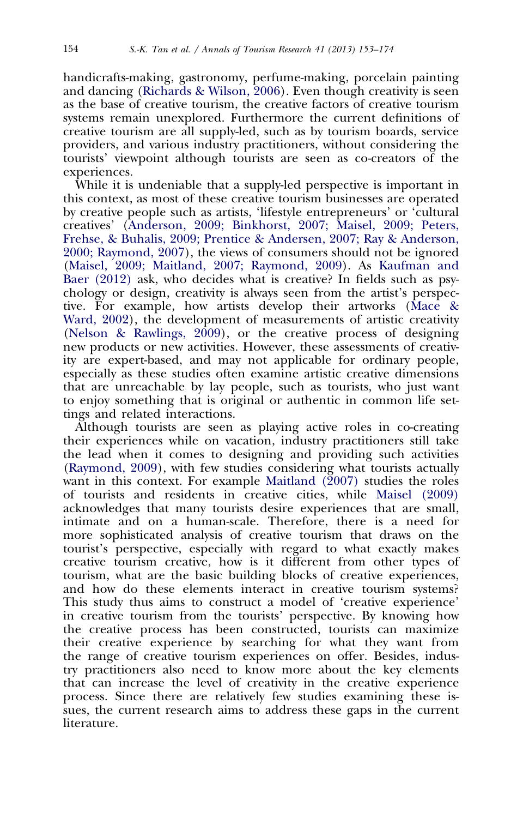handicrafts-making, gastronomy, perfume-making, porcelain painting and dancing [\(Richards & Wilson, 2006](#page--1-0)). Even though creativity is seen as the base of creative tourism, the creative factors of creative tourism systems remain unexplored. Furthermore the current definitions of creative tourism are all supply-led, such as by tourism boards, service providers, and various industry practitioners, without considering the tourists' viewpoint although tourists are seen as co-creators of the experiences.

While it is undeniable that a supply-led perspective is important in this context, as most of these creative tourism businesses are operated by creative people such as artists, 'lifestyle entrepreneurs' or 'cultural creatives' [\(Anderson, 2009; Binkhorst, 2007; Maisel, 2009; Peters,](#page--1-0) [Frehse, & Buhalis, 2009; Prentice & Andersen, 2007; Ray & Anderson,](#page--1-0) [2000; Raymond, 2007\)](#page--1-0), the views of consumers should not be ignored ([Maisel, 2009; Maitland, 2007; Raymond, 2009\)](#page--1-0). As [Kaufman and](#page--1-0) [Baer \(2012\)](#page--1-0) ask, who decides what is creative? In fields such as psychology or design, creativity is always seen from the artist's perspective. For example, how artists develop their artworks ([Mace &](#page--1-0) [Ward, 2002\)](#page--1-0), the development of measurements of artistic creativity ([Nelson & Rawlings, 2009\)](#page--1-0), or the creative process of designing new products or new activities. However, these assessments of creativity are expert-based, and may not applicable for ordinary people, especially as these studies often examine artistic creative dimensions that are unreachable by lay people, such as tourists, who just want to enjoy something that is original or authentic in common life settings and related interactions.

Although tourists are seen as playing active roles in co-creating their experiences while on vacation, industry practitioners still take the lead when it comes to designing and providing such activities ([Raymond, 2009](#page--1-0)), with few studies considering what tourists actually want in this context. For example Maitland  $(2007)$  studies the roles of tourists and residents in creative cities, while [Maisel \(2009\)](#page--1-0) acknowledges that many tourists desire experiences that are small, intimate and on a human-scale. Therefore, there is a need for more sophisticated analysis of creative tourism that draws on the tourist's perspective, especially with regard to what exactly makes creative tourism creative, how is it different from other types of tourism, what are the basic building blocks of creative experiences, and how do these elements interact in creative tourism systems? This study thus aims to construct a model of 'creative experience' in creative tourism from the tourists' perspective. By knowing how the creative process has been constructed, tourists can maximize their creative experience by searching for what they want from the range of creative tourism experiences on offer. Besides, industry practitioners also need to know more about the key elements that can increase the level of creativity in the creative experience process. Since there are relatively few studies examining these issues, the current research aims to address these gaps in the current literature.